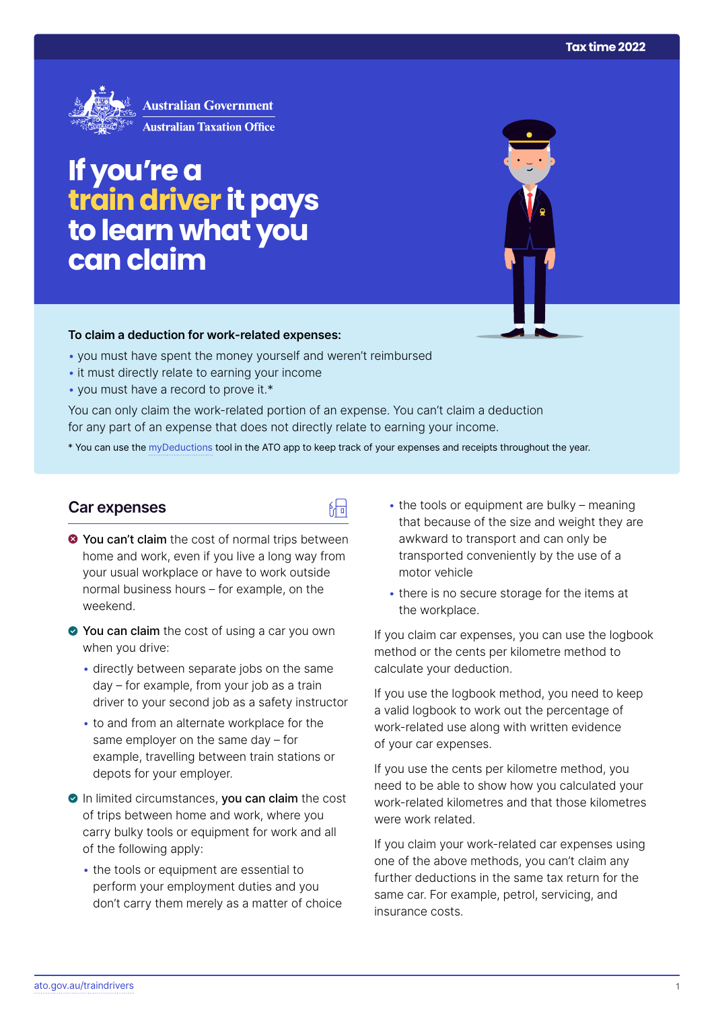

## **If you're a traindriver it pays to learn what you can claim**

### **To claim a deduction for work‑related expenses:**

- you must have spent the money yourself and weren't reimbursed
- it must directly relate to earning your income
- you must have a record to prove it.\*

You can only claim the work-related portion of an expense. You can't claim a deduction for any part of an expense that does not directly relate to earning your income.

\* You can use the [myDeductions](https://ato.gov.au/mydeductions) tool in the ATO app to keep track of your expenses and receipts throughout the year.

品

## **Car expenses**

- $\bullet$  You can't claim the cost of normal trips between home and work, even if you live a long way from your usual workplace or have to work outside normal business hours – for example, on the weekend.
- ◆ You can claim the cost of using a car you own when you drive:
	- directly between separate jobs on the same day – for example, from your job as a train driver to your second job as a safety instructor
	- to and from an alternate workplace for the same employer on the same day – for example, travelling between train stations or depots for your employer.
- In limited circumstances, you can claim the cost of trips between home and work, where you carry bulky tools or equipment for work and all of the following apply:
	- the tools or equipment are essential to perform your employment duties and you don't carry them merely as a matter of choice
- $\bullet$  the tools or equipment are bulky meaning that because of the size and weight they are awkward to transport and can only be transported conveniently by the use of a motor vehicle
- there is no secure storage for the items at the workplace.

If you claim car expenses, you can use the logbook method or the cents per kilometre method to calculate your deduction.

If you use the logbook method, you need to keep a valid logbook to work out the percentage of work-related use along with written evidence of your car expenses.

If you use the cents per kilometre method, you need to be able to show how you calculated your work-related kilometres and that those kilometres were work related.

If you claim your work-related car expenses using one of the above methods, you can't claim any further deductions in the same tax return for the same car. For example, petrol, servicing, and insurance costs.